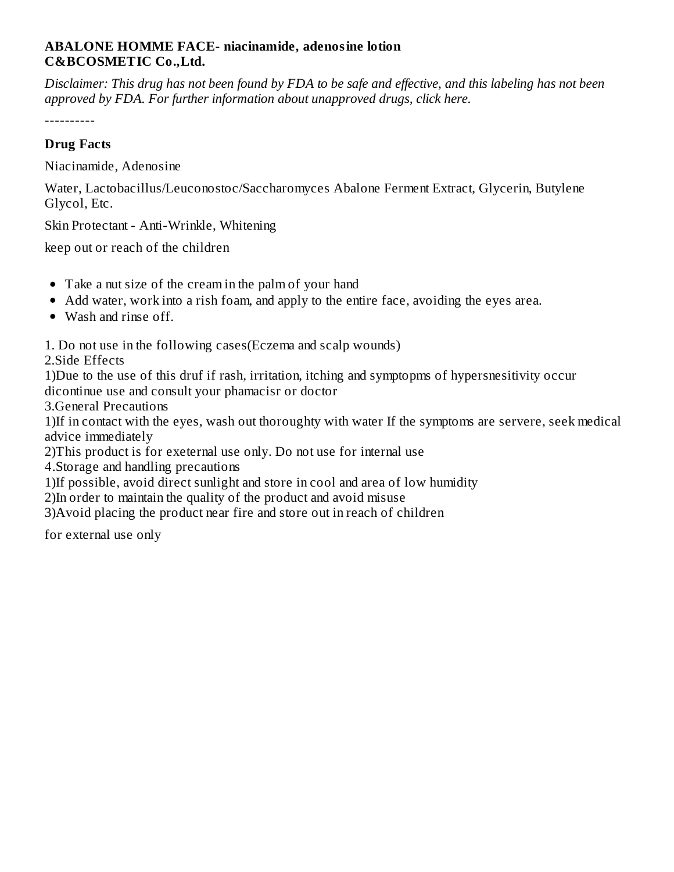### **ABALONE HOMME FACE- niacinamide, adenosine lotion C&BCOSMETIC Co.,Ltd.**

Disclaimer: This drug has not been found by FDA to be safe and effective, and this labeling has not been *approved by FDA. For further information about unapproved drugs, click here.*

----------

## **Drug Facts**

Niacinamide, Adenosine

Water, Lactobacillus/Leuconostoc/Saccharomyces Abalone Ferment Extract, Glycerin, Butylene Glycol, Etc.

Skin Protectant - Anti-Wrinkle, Whitening

keep out or reach of the children

- Take a nut size of the cream in the palm of your hand
- Add water, work into a rish foam, and apply to the entire face, avoiding the eyes area.
- Wash and rinse off.

1. Do not use in the following cases(Eczema and scalp wounds)

2.Side Effects

1)Due to the use of this druf if rash, irritation, itching and symptopms of hypersnesitivity occur dicontinue use and consult your phamacisr or doctor

3.General Precautions

1)If in contact with the eyes, wash out thoroughty with water If the symptoms are servere, seek medical advice immediately

2)This product is for exeternal use only. Do not use for internal use

4.Storage and handling precautions

1)If possible, avoid direct sunlight and store in cool and area of low humidity

2)In order to maintain the quality of the product and avoid misuse

3)Avoid placing the product near fire and store out in reach of children

for external use only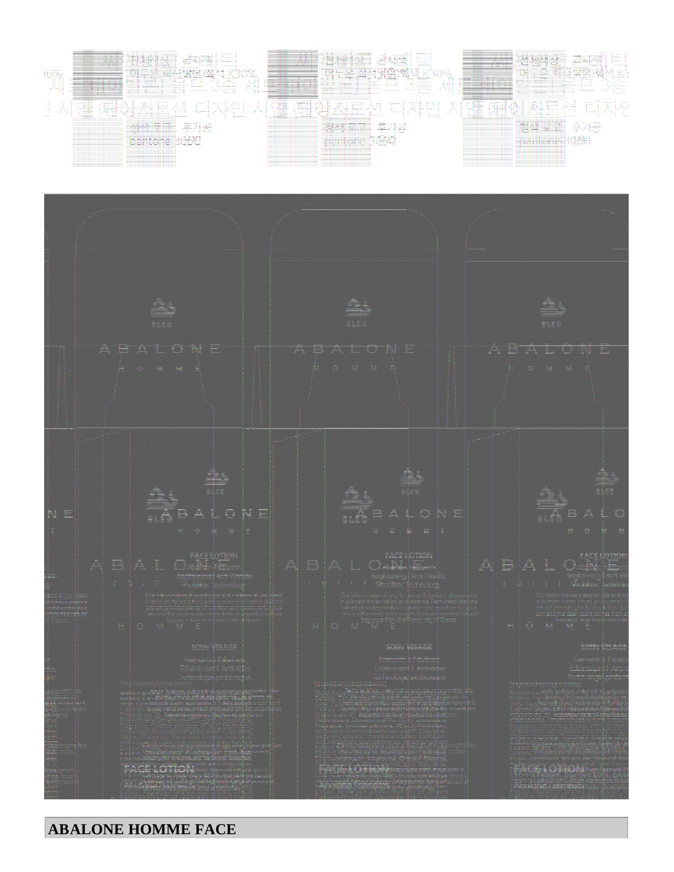## WRHE-4 [아발론] 음모 3층 세트 中 페이스로션 디자인 시안 (단상자)







### **ABALONE HOMME FACE**